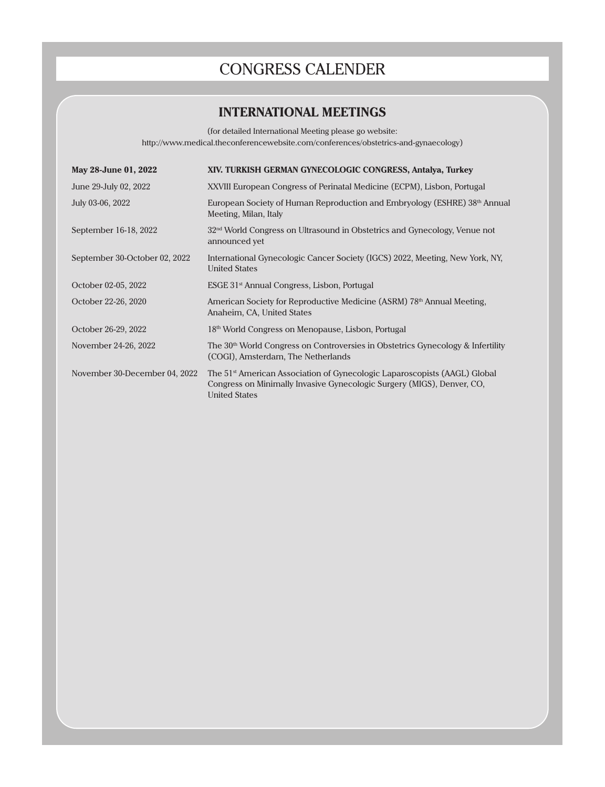## CONGRESS CALENDER

## **INTERNATIONAL MEETINGS**

(for detailed International Meeting please go website: http://www.medical.theconferencewebsite.com/conferences/obstetrics-and-gynaecology)

| May 28-June 01, 2022          | XIV. TURKISH GERMAN GYNECOLOGIC CONGRESS, Antalya, Turkey                                                                                                                               |
|-------------------------------|-----------------------------------------------------------------------------------------------------------------------------------------------------------------------------------------|
| June 29-July 02, 2022         | XXVIII European Congress of Perinatal Medicine (ECPM), Lisbon, Portugal                                                                                                                 |
| July 03-06, 2022              | European Society of Human Reproduction and Embryology (ESHRE) 38 <sup>th</sup> Annual<br>Meeting, Milan, Italy                                                                          |
| September 16-18, 2022         | $32nd$ World Congress on Ultrasound in Obstetrics and Gynecology, Venue not<br>announced yet                                                                                            |
| September 30-October 02, 2022 | International Gynecologic Cancer Society (IGCS) 2022, Meeting, New York, NY,<br><b>United States</b>                                                                                    |
| October 02-05, 2022           | ESGE 31 <sup>st</sup> Annual Congress, Lisbon, Portugal                                                                                                                                 |
| October 22-26, 2020           | American Society for Reproductive Medicine (ASRM) 78 <sup>th</sup> Annual Meeting,<br>Anaheim, CA, United States                                                                        |
| October 26-29, 2022           | 18 <sup>th</sup> World Congress on Menopause, Lisbon, Portugal                                                                                                                          |
| November 24-26, 2022          | The $30th$ World Congress on Controversies in Obstetrics Gynecology & Infertility<br>(COGI), Amsterdam, The Netherlands                                                                 |
| November 30-December 04, 2022 | The 51 <sup>st</sup> American Association of Gynecologic Laparoscopists (AAGL) Global<br>Congress on Minimally Invasive Gynecologic Surgery (MIGS), Denver, CO,<br><b>United States</b> |